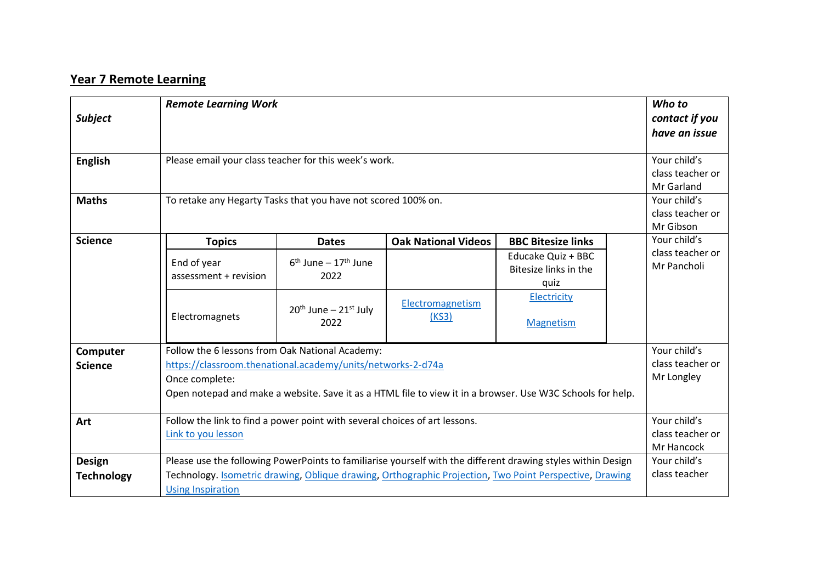## **Year 7 Remote Learning**

| <b>Subject</b>    | <b>Remote Learning Work</b>                                                                                                  |                                                             |                            |                                                     |                                                | Who to<br>contact if you<br>have an issue     |
|-------------------|------------------------------------------------------------------------------------------------------------------------------|-------------------------------------------------------------|----------------------------|-----------------------------------------------------|------------------------------------------------|-----------------------------------------------|
| <b>English</b>    | Please email your class teacher for this week's work.                                                                        |                                                             |                            |                                                     | Your child's<br>class teacher or<br>Mr Garland |                                               |
| <b>Maths</b>      | To retake any Hegarty Tasks that you have not scored 100% on.                                                                |                                                             |                            |                                                     |                                                | Your child's<br>class teacher or<br>Mr Gibson |
| <b>Science</b>    | <b>Topics</b>                                                                                                                | <b>Dates</b>                                                | <b>Oak National Videos</b> | <b>BBC Bitesize links</b>                           |                                                | Your child's                                  |
|                   | End of year<br>assessment + revision                                                                                         | $6th$ June – 17 <sup>th</sup> June<br>2022                  |                            | Educake Quiz + BBC<br>Bitesize links in the<br>quiz |                                                | class teacher or<br>Mr Pancholi               |
|                   | Electromagnets                                                                                                               | $20th$ June – $21st$ July<br>2022                           | Electromagnetism<br>(KS3)  | Electricity<br>Magnetism                            |                                                |                                               |
| Computer          | Follow the 6 lessons from Oak National Academy:                                                                              |                                                             |                            |                                                     |                                                | Your child's                                  |
| <b>Science</b>    |                                                                                                                              | https://classroom.thenational.academy/units/networks-2-d74a |                            |                                                     |                                                |                                               |
|                   | Once complete:<br>Open notepad and make a website. Save it as a HTML file to view it in a browser. Use W3C Schools for help. |                                                             |                            |                                                     |                                                | Mr Longley                                    |
|                   |                                                                                                                              |                                                             |                            |                                                     |                                                |                                               |
| Art               | Follow the link to find a power point with several choices of art lessons.                                                   |                                                             |                            |                                                     |                                                | Your child's                                  |
|                   | Link to you lesson                                                                                                           |                                                             |                            |                                                     |                                                | class teacher or                              |
|                   |                                                                                                                              |                                                             |                            |                                                     |                                                | Mr Hancock                                    |
| <b>Design</b>     | Please use the following PowerPoints to familiarise yourself with the different drawing styles within Design                 |                                                             |                            |                                                     |                                                | Your child's                                  |
| <b>Technology</b> | Technology. <b>Isometric drawing</b> , Oblique drawing, Orthographic Projection, Two Point Perspective, Drawing              |                                                             |                            |                                                     |                                                | class teacher                                 |
|                   | <b>Using Inspiration</b>                                                                                                     |                                                             |                            |                                                     |                                                |                                               |